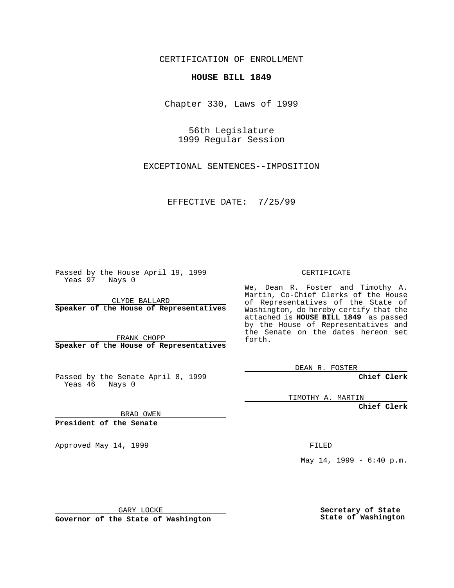CERTIFICATION OF ENROLLMENT

## **HOUSE BILL 1849**

Chapter 330, Laws of 1999

56th Legislature 1999 Regular Session

EXCEPTIONAL SENTENCES--IMPOSITION

EFFECTIVE DATE: 7/25/99

Passed by the House April 19, 1999 Yeas 97 Nays 0

CLYDE BALLARD **Speaker of the House of Representatives**

FRANK CHOPP **Speaker of the House of Representatives**

Passed by the Senate April 8, 1999 Yeas 46 Nays 0

CERTIFICATE

We, Dean R. Foster and Timothy A. Martin, Co-Chief Clerks of the House of Representatives of the State of Washington, do hereby certify that the attached is **HOUSE BILL 1849** as passed by the House of Representatives and the Senate on the dates hereon set forth.

DEAN R. FOSTER

**Chief Clerk**

TIMOTHY A. MARTIN

**Chief Clerk**

BRAD OWEN

**President of the Senate**

Approved May 14, 1999 **FILED** 

May 14, 1999 - 6:40 p.m.

GARY LOCKE

**Governor of the State of Washington**

**Secretary of State State of Washington**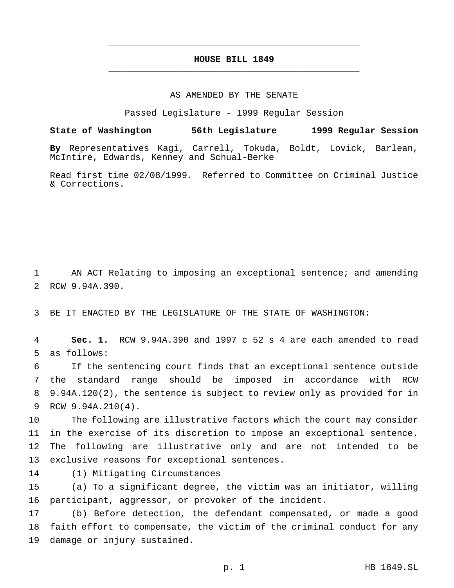## **HOUSE BILL 1849** \_\_\_\_\_\_\_\_\_\_\_\_\_\_\_\_\_\_\_\_\_\_\_\_\_\_\_\_\_\_\_\_\_\_\_\_\_\_\_\_\_\_\_\_\_\_\_

\_\_\_\_\_\_\_\_\_\_\_\_\_\_\_\_\_\_\_\_\_\_\_\_\_\_\_\_\_\_\_\_\_\_\_\_\_\_\_\_\_\_\_\_\_\_\_

## AS AMENDED BY THE SENATE

Passed Legislature - 1999 Regular Session

**State of Washington 56th Legislature 1999 Regular Session**

**By** Representatives Kagi, Carrell, Tokuda, Boldt, Lovick, Barlean, McIntire, Edwards, Kenney and Schual-Berke

Read first time 02/08/1999. Referred to Committee on Criminal Justice & Corrections.

 AN ACT Relating to imposing an exceptional sentence; and amending RCW 9.94A.390.

BE IT ENACTED BY THE LEGISLATURE OF THE STATE OF WASHINGTON:

 **Sec. 1.** RCW 9.94A.390 and 1997 c 52 s 4 are each amended to read as follows:

 If the sentencing court finds that an exceptional sentence outside the standard range should be imposed in accordance with RCW 9.94A.120(2), the sentence is subject to review only as provided for in RCW 9.94A.210(4).

 The following are illustrative factors which the court may consider in the exercise of its discretion to impose an exceptional sentence. The following are illustrative only and are not intended to be exclusive reasons for exceptional sentences.

(1) Mitigating Circumstances

 (a) To a significant degree, the victim was an initiator, willing participant, aggressor, or provoker of the incident.

 (b) Before detection, the defendant compensated, or made a good faith effort to compensate, the victim of the criminal conduct for any damage or injury sustained.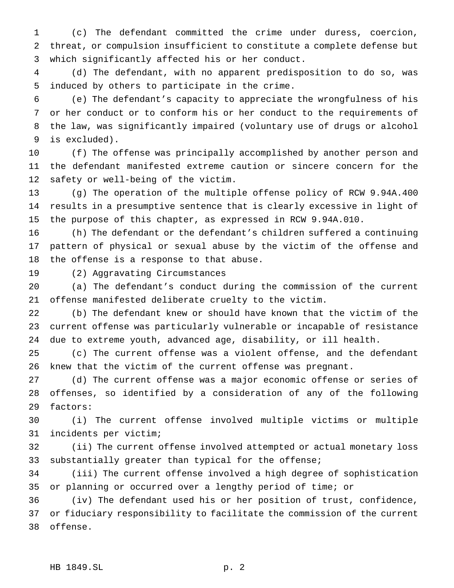(c) The defendant committed the crime under duress, coercion, threat, or compulsion insufficient to constitute a complete defense but which significantly affected his or her conduct.

 (d) The defendant, with no apparent predisposition to do so, was induced by others to participate in the crime.

 (e) The defendant's capacity to appreciate the wrongfulness of his or her conduct or to conform his or her conduct to the requirements of the law, was significantly impaired (voluntary use of drugs or alcohol is excluded).

 (f) The offense was principally accomplished by another person and the defendant manifested extreme caution or sincere concern for the safety or well-being of the victim.

 (g) The operation of the multiple offense policy of RCW 9.94A.400 results in a presumptive sentence that is clearly excessive in light of the purpose of this chapter, as expressed in RCW 9.94A.010.

 (h) The defendant or the defendant's children suffered a continuing pattern of physical or sexual abuse by the victim of the offense and the offense is a response to that abuse.

(2) Aggravating Circumstances

 (a) The defendant's conduct during the commission of the current offense manifested deliberate cruelty to the victim.

 (b) The defendant knew or should have known that the victim of the current offense was particularly vulnerable or incapable of resistance due to extreme youth, advanced age, disability, or ill health.

 (c) The current offense was a violent offense, and the defendant knew that the victim of the current offense was pregnant.

 (d) The current offense was a major economic offense or series of offenses, so identified by a consideration of any of the following factors:

 (i) The current offense involved multiple victims or multiple incidents per victim;

 (ii) The current offense involved attempted or actual monetary loss substantially greater than typical for the offense;

 (iii) The current offense involved a high degree of sophistication or planning or occurred over a lengthy period of time; or

 (iv) The defendant used his or her position of trust, confidence, or fiduciary responsibility to facilitate the commission of the current offense.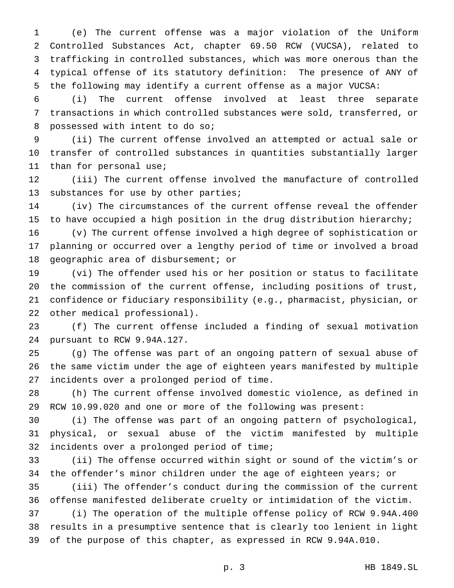(e) The current offense was a major violation of the Uniform Controlled Substances Act, chapter 69.50 RCW (VUCSA), related to trafficking in controlled substances, which was more onerous than the typical offense of its statutory definition: The presence of ANY of the following may identify a current offense as a major VUCSA:

 (i) The current offense involved at least three separate transactions in which controlled substances were sold, transferred, or possessed with intent to do so;

 (ii) The current offense involved an attempted or actual sale or transfer of controlled substances in quantities substantially larger than for personal use;

 (iii) The current offense involved the manufacture of controlled 13 substances for use by other parties;

 (iv) The circumstances of the current offense reveal the offender to have occupied a high position in the drug distribution hierarchy;

 (v) The current offense involved a high degree of sophistication or planning or occurred over a lengthy period of time or involved a broad geographic area of disbursement; or

 (vi) The offender used his or her position or status to facilitate the commission of the current offense, including positions of trust, confidence or fiduciary responsibility (e.g., pharmacist, physician, or other medical professional).

 (f) The current offense included a finding of sexual motivation pursuant to RCW 9.94A.127.

 (g) The offense was part of an ongoing pattern of sexual abuse of the same victim under the age of eighteen years manifested by multiple incidents over a prolonged period of time.

 (h) The current offense involved domestic violence, as defined in RCW 10.99.020 and one or more of the following was present:

 (i) The offense was part of an ongoing pattern of psychological, physical, or sexual abuse of the victim manifested by multiple incidents over a prolonged period of time;

 (ii) The offense occurred within sight or sound of the victim's or the offender's minor children under the age of eighteen years; or

 (iii) The offender's conduct during the commission of the current offense manifested deliberate cruelty or intimidation of the victim.

 (i) The operation of the multiple offense policy of RCW 9.94A.400 results in a presumptive sentence that is clearly too lenient in light of the purpose of this chapter, as expressed in RCW 9.94A.010.